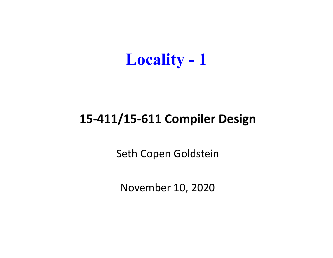

#### **15‐411/15‐611 Compiler Design**

Seth Copen Goldstein

November 10, 2020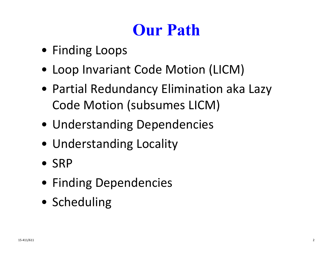# **Our Path**

- Finding Loops
- Loop Invariant Code Motion (LICM)
- Partial Redundancy Elimination aka Lazy Code Motion (subsumes LICM)
- Understanding Dependencies
- Understanding Locality
- SRP
- Finding Dependencies
- Scheduling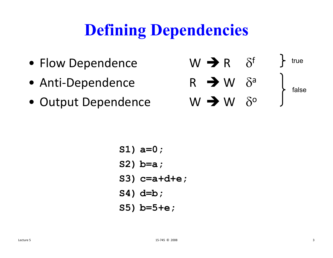# **Defining Dependencies**

- Flow Dependence  $\mathsf{W}\blacktriangleleft\mathsf{R}\quad\delta^\mathsf{f}$
- •Anti-Dependence  $R \rightarrow W \delta^a$
- •Output Dependence  $W \rightarrow W \delta^{\circ}$

$$
W \rightarrow R \quad \delta^{f} \quad \text{true}
$$
\n
$$
R \rightarrow W \quad \delta^{a} \quad \text{false}
$$
\n
$$
W \rightarrow W \quad \delta^{o} \quad \text{false}
$$

$$
\verb|S1)|\verb|a=0|;
$$

$$
S2) b=a;
$$

- **S3) c=a+d+e;**
- **S4) d=b;**
- **S5) b=5+e;**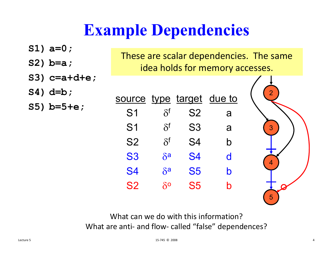# **Example Dependencies**

| $S1) a=0;$     |                                         |                     |                |             |   |
|----------------|-----------------------------------------|---------------------|----------------|-------------|---|
|                | These are scalar dependencies. The same |                     |                |             |   |
| $S2) b=a;$     | idea holds for memory accesses.         |                     |                |             |   |
|                |                                         |                     |                |             |   |
| $S3)$ c=a+d+e; |                                         |                     |                |             |   |
| $S4)$ d=b;     |                                         |                     |                |             |   |
| $S5)$ b=5+e;   | source type target due to               |                     |                |             |   |
|                | S <sub>1</sub>                          | $\delta^{\text{f}}$ | <b>S2</b>      | a           |   |
|                | S <sub>1</sub>                          | $\delta^{\rm f}$    | S <sub>3</sub> | a           | 3 |
|                | <b>S2</b>                               | $\delta^{\rm f}$    | S <sub>4</sub> | $\mathsf b$ |   |
|                | <b>S3</b>                               | $\delta^a$          | <b>S4</b>      | d           |   |
|                | <b>S4</b>                               | $\delta^a$          | <b>S5</b>      | $\mathbf b$ |   |
|                | <b>S2</b>                               | $\delta^{\rm o}$    | <b>S5</b>      | b           |   |
|                |                                         |                     |                |             |   |

What can we do with this information? What are anti‐ and flow‐ called "false" dependences?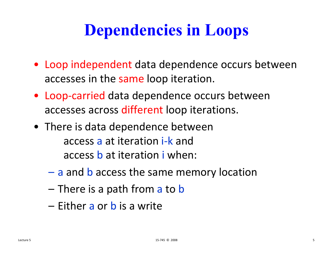# **Dependencies in Loops**

- Loop independent data dependence occurs between accesses in the same loop iteration.
- Loop ‐carried data dependence occurs between accesses across different loop iterations.
- There is data dependence between access a at iteration i-k and access **b** at iteration i when:
	- a and b access the same memory location
	- There is a path from a to b
	- Either a or b is a write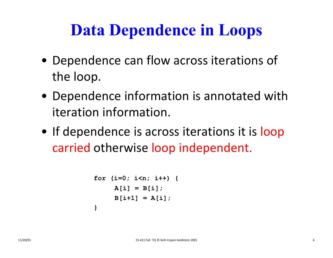# **Data Dependence in Loops**

- Dependence can flow across iterations of the loop.
- Dependence information is annotated with iteration information.
- If dependence is across iterations it is loop carried otherwise loop independent.

```
for (i=0; i<n; i++) {
     A[i] = B[i];
     B[i+1] = A[i];
}
```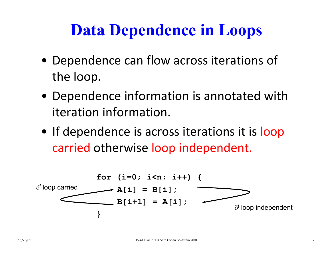#### **Data Dependence in Loops**

- Dependence can flow across iterations of the loop.
- Dependence information is annotated with iteration information.
- If dependence is across iterations it is loop carried otherwise loop independent.

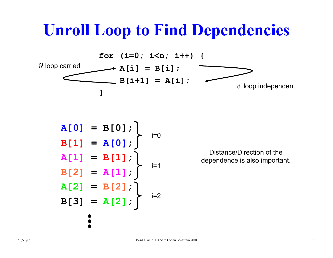#### **Unroll Loop to Find Dependencies**



$$
A[0] = B[0];
$$
  
\n
$$
B[1] = A[0];
$$
  
\n
$$
A[1] = B[1];
$$
  
\n
$$
B[2] = A[1];
$$
  
\n
$$
A[2] = B[2];
$$
  
\n
$$
B[3] = A[2];
$$
  
\n
$$
...
$$

Distance/Direction of the dependence is also important.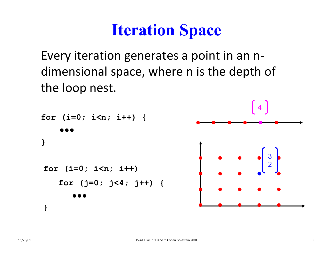#### **Iteration Space**

Every iteration generates <sup>a</sup> point in an <sup>n</sup>‐ dimensional space, where <sup>n</sup> is the depth of the loop nest.

```
for (i=0; i<n; i++) {
}
for (i=0; i<n; i++) 
    for (j=0; j<4; j++) {
}
                                                   3
2
                                                4
```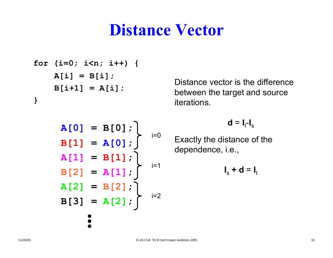#### **Distance Vector**

**for (i=0; i<n; i++) { A[i] = B[i]; B[i+1] = A[i]; }**

$$
A[0] = B[0];
$$
\n
$$
B[1] = A[0];
$$
\n
$$
A[1] = B[1];
$$
\n
$$
B[2] = A[1];
$$
\n
$$
A[2] = B[2];
$$
\n
$$
B[3] = A[2];
$$
\n
$$
B[3] = A[2];
$$
\n
$$
...
$$

 $\bullet$ 

Distance vector is the difference between the target and source iterations.

 $d = I_t-I_s$ 

Exactly the distance of the dependence, i.e.,

$$
\mathbf{I}_s + \mathbf{d} = \mathbf{I}_t
$$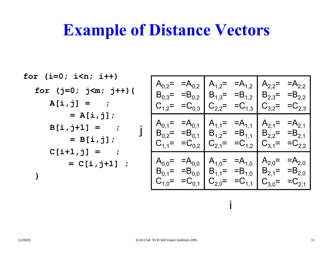#### **Example of Distance Vectors**

$$
\begin{array}{llll}\n\text{for} & (\mathbf{i}=0; \ \mathbf{i} < \mathbf{n}; \ \mathbf{i} + \mathbf{i} \\
\text{for} & (\mathbf{j}=0; \ \mathbf{j} < \mathbf{m}; \ \mathbf{j} + \mathbf{i} \\
\text{A}[\mathbf{i}, \mathbf{j}] & = & \vdots \\
\text{A}[\mathbf{i}, \mathbf{j}] & = & \vdots \\
\text{B}[\mathbf{i}, \mathbf{j}] & = & \vdots \\
\text{B}[\mathbf{i}, \mathbf{j}] & = & \vdots \\
\text{B}[\mathbf{i}, \mathbf{j}] & = & \vdots \\
\text{B}[\mathbf{i}, \mathbf{j}] & = & \vdots \\
\text{B}[\mathbf{i}, \mathbf{j}] & = & \vdots \\
\text{B}[\mathbf{i}, \mathbf{j}] & = & \vdots \\
\text{C}[\mathbf{i} + \mathbf{1}, \mathbf{j}] & = & \vdots \\
\text{C}[\mathbf{i} + \mathbf{1}, \mathbf{j}] & = & \vdots \\
\text{D}[\mathbf{i}, \mathbf{j}] & = & \vdots \\
\text{D}[\mathbf{i}, \mathbf{j}] & = & \vdots \\
\text{D}[\mathbf{i}, \mathbf{j}] & = & \vdots \\
\text{D}[\mathbf{i}, \mathbf{j}] & = & \vdots \\
\text{D}[\mathbf{i}, \mathbf{j}] & = & \vdots \\
\text{D}[\mathbf{i}, \mathbf{j}] & = & \vdots \\
\text{D}[\mathbf{i}, \mathbf{j}] & = & \vdots \\
\text{D}[\mathbf{i}, \mathbf{j}] & = & \vdots \\
\text{D}[\mathbf{i}, \mathbf{j}] & = & \vdots \\
\text{D}[\mathbf{i}, \mathbf{j}] & = & \vdots \\
\text{D}[\mathbf{i}, \mathbf{j}] & = & \vdots \\
\text{D}[\mathbf{i}, \mathbf{j}] & = & \vdots \\
\text{D}[\mathbf{i}, \mathbf{j}] & = & \vdots \\
\text{D}[\mathbf{i}, \mathbf{j}] & = & \vdots \\
\text{D}[\mathbf{i}, \mathbf{j}] & = & \vdots \\
\text
$$

i

 $\mathbf{i}$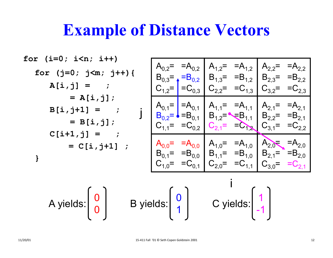#### **Example of Distance Vectors**

$$
\begin{array}{ll}\n\text{for} & (\mathbf{i}=0; \ \mathbf{i} < \mathbf{n}; \ \mathbf{i} + \mathbf{i} \\
\text{for} & (\mathbf{j}=0; \ \mathbf{j} < \mathbf{m}; \ \mathbf{j} + \mathbf{i} \\
\text{A}[\mathbf{i}, \mathbf{j}] = & \vdots \\
\text{A}[\mathbf{i}, \mathbf{j}] = & \vdots \\
\text{B}_{0,3} = & -B_{0,2} \\
\text{B}_{0,3} = & -B_{0,2} \\
\text{C}_{1,2} = \begin{vmatrix} B_{0,2} & B_{1,3} = & B_{1,2} & B_{2,3} = & B_{2,2} \\
B_{0,3} = & -B_{0,2} & B_{1,3} = & B_{2,3} = & B_{2,2} \\
C_{1,2} = & -C_{0,3} & C_{2,2} = & -C_{1,3} \\
C_{2,2} = & -C_{1,3} & C_{3,2} = & -C_{2,3} \\
C_{3,2} = & -C_{2,3} & C_{3,2} = & -C_{2,3} \\
C_{1,3} = & B_{0,1} & A_{1,1} = & A_{1,1} \\
C_{1,1} = & -C_{0,2} & C_{2,1} = & -C_{1,2} \\
C_{2,1} = & -C_{1,2} & C_{3,1} = & -C_{2,2} \\
C_{3,1} = & -C_{2,2} & C_{3,1} = & -C_{2,2} \\
C_{1,0} = & -C_{0,1} & C_{2,0} = & -C_{1,1} \\
C_{2,0} = & -C_{1,1} & C_{3,0} = & -C_{2,1} \\
C_{3,0} = & -C_{2,1} & C_{3,0} = & -C_{2,1} \\
C_{1,0} = & -C_{0,1} & C_{2,0} = & -C_{1,1} \\
C_{2,0} = & -C_{1,1} & C_{3,0} = & -C_{2,1} \\
C_{3,1} = & -B_{1,0}
$$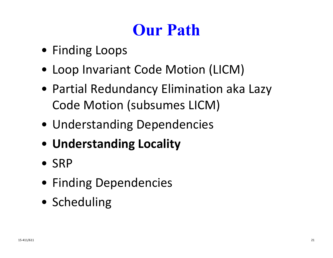# **Our Path**

- Finding Loops
- Loop Invariant Code Motion (LICM)
- Partial Redundancy Elimination aka Lazy Code Motion (subsumes LICM)
- Understanding Dependencies
- **Understanding Locality**
- SRP
- Finding Dependencies
- Scheduling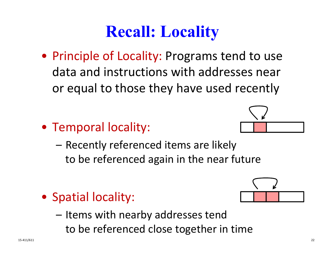#### **Recall: Locality**

- Principle of Locality: Programs tend to use data and instructions with addresses near or equal to those they have used recently
- Temporal locality:
	- – Recently referenced items are likely to be referenced again in the near future
- Spatial locality:
	- Items with nearby addresses tend to be referenced close together in time



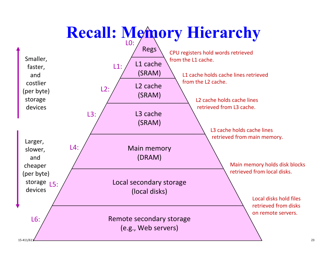# **Recall: Memory Hierarchy**

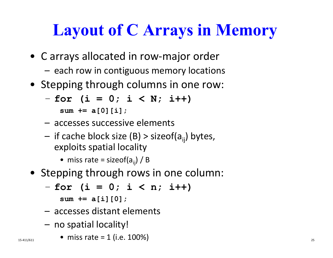# **Layout of C Arrays in Memory**

- C arrays allocated in row ‐major order
	- each row in contiguous memory locations
- Stepping through columns in one row:

$$
-
$$
 for ( $i = 0$ ;  $i < N$ ;  $i++$ )

**sum += a[0][i];**

- accesses successive elements
- if cache block size (B) > sizeof(a<sub>ij</sub>) bytes, exploits spatial locality

• miss rate = sizeof(a<sub>ij</sub>) / B

- Stepping through rows in one column:
	- –**for (i = 0; i < n; i++)**

**sum += a[i][0];**

- accesses distant elements
- no spatial locality!
- $\bullet$  miss rate = 1 (i.e. 100%) 15-411/611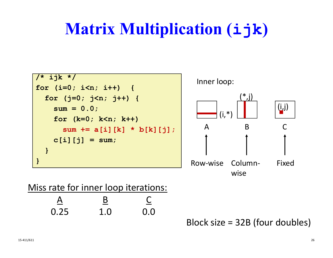# **Matrix Multiplication (ijk )**



wise

#### Miss rate for inner loop iterations:

| A<br>— | B<br>____ |     |
|--------|-----------|-----|
| 0.25   | 1.0       | 0.0 |

Block size = 32B (four doubles)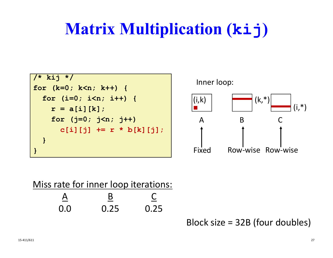# **Matrix Multiplication (kij )**



| Miss rate for inner loop iterations: |      |      |
|--------------------------------------|------|------|
|                                      |      |      |
| 0.0                                  | 0.25 | 0.25 |

Block size = 32B (four doubles)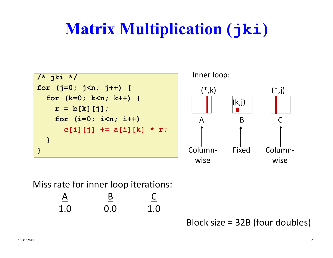# **Matrix Multiplication (jki )**



| Miss rate for inner loop iterations: |     |     |
|--------------------------------------|-----|-----|
|                                      |     |     |
| 1.0                                  | 0.0 | 1.0 |

Block size = 32B (four doubles)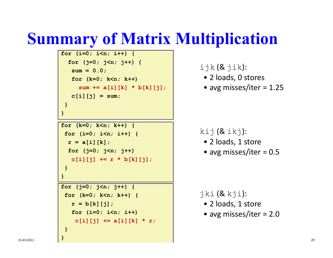#### **Summary of Matrix Multiplication**

```
for (i=0; i<n; i++) {
  for (j=0; j<n; j++) {
   sum = 0.0;
   for (k=0; k<n; k++) 
     sum += a[i][k] * b[k][j];
   c[i][j] = sum;
 }
}
```

```
for (k=0; k<n; k++) {
 for (i=0; i<n; i++) {
  r = a[i][k];for (j=0; j<n; j++)
   c[i][j] += r * b[k][j]; 
 }
}
```

```
for (j=0; j<n; j++) {
 for (k=0; k<n; k++) {
   r = b[k][j];for (i=0; i<n; i++)
    c[i][j] += a[i][k] * r;
 }
```
 $ijk$   $(8jik)$ :

- 2 loads, 0 stores
- avg misses/iter <sup>=</sup> 1.25

```
kij (8ikj):
```
- 2 loads, 1 store
- avg misses/iter <sup>=</sup> 0.5

#### jki (& kji):

- 2 loads, 1 store
- avg misses/iter <sup>=</sup> 2.0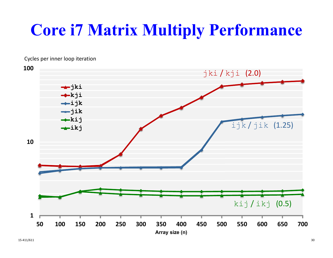# **Core i7 Matrix Multiply Performance**

Cycles per inner loop iteration

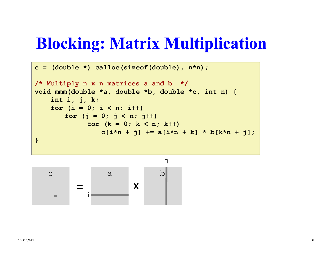#### **Blocking: Matrix Multiplication**

```
c = (double *) calloc(sizeof(double), n*n);
/* Multiply n x n matrices a and b */
void mmm(double *a, double *b, double *c, int n) {
    int i, j, k;
    for (i = 0; i < n; i++)for (i = 0; j < n; j++)for (k = 0; k < n; k++)
                c[i*n + j] += a[i*n + k] * b[k*n + j];
}
```
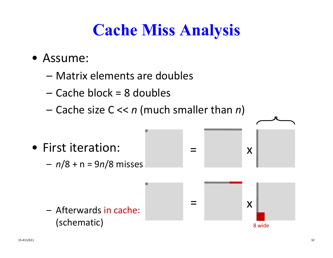# **Cache Miss Analysis**

- Assume:
	- Matrix elements are doubles
	- Cache block =8 doubles
	- Cache size C << *n* (much smaller than *n* )

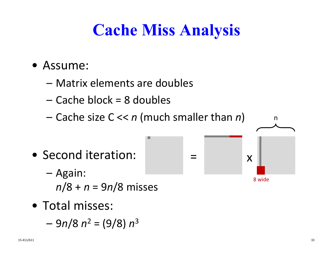# **Cache Miss Analysis**

 $=$ 

- Assume:
	- Matrix elements are doubles
	- Cache block =8 doubles
	- Cache size C << *n* (much smaller than *n* )
- Second iteration:
	- – Again: *<sup>n</sup>*/8 + *n* = 9 *<sup>n</sup>*/8 misses
- Total misses:
	- 9 *<sup>n</sup>*/8 *n*  $2 =$  (9/8) *n* 3

n

x

8 wide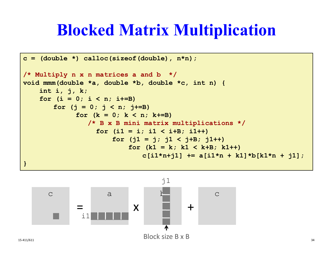#### **Blocked Matrix Multiplication**

```
c = (double *) calloc(sizeof(double), n*n);
/* Multiply n x n matrices a and b */
void mmm(double *a, double *b, double *c, int n) {
    int i, j, k;
    for (i = 0; i < n; i+=B)for (i = 0; j < n; j+=B)for (k = 0; k < n; k+=B)
                /* B x B mini matrix multiplications */
                  for (i1 = i; i1 < i+B; i1++)
                      for (i1 = i; i1 < i+B; i1++)for (k1 = k; k1 < k+B; k1++)c[i1*n+j1] += a[i1*n + k1]*b[k1*n + j1];
}
```
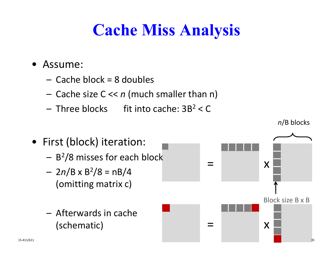# **Cache Miss Analysis**

- Assume:
	- Cache block =8 doubles
	- Cache size C << *n* (much smaller than n)
	- $-$  Three blocks  $-$  fit into cache: 3B $^2$  < C  $\,$



*<sup>n</sup>*/B blocks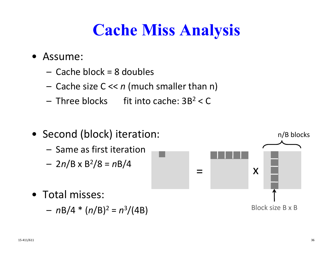# **Cache Miss Analysis**

- Assume:
	- Cache block =8 doubles
	- Cache size C << *n* (much smaller than n)
	- Three blocks fit into cache: 3B  $2 < C$
- Second (block) iteration: – Same as first iteration– 2 *<sup>n</sup>*/B x B 2/8 = *<sup>n</sup>*B/4 • Total misses:– *<sup>n</sup>*B/4 \* (*n*/B) 2 = *n* 3/(4B)  $=$ xBlock size B x B n/B blocks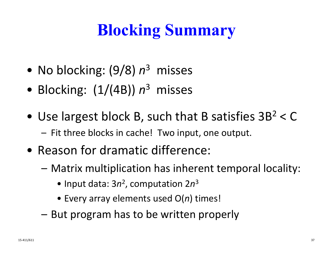# **Blocking Summary**

- No blocking: (9/8) *n* <sup>3</sup> misses
- Blocking: (1/(4B)) *n* <sup>3</sup> misses
- Use largest block B, such that B satisfies  $3B^2 < C$ – Fit three blocks in cache! Two input, one output.
- Reason for dramatic difference:
	- Matrix multiplication has inherent temporal locality:
		- Input data: 3*n*<sup>2</sup>, computation 2*n* 3
		- Every array elements used O( *<sup>n</sup>*) times!
	- But program has to be written properly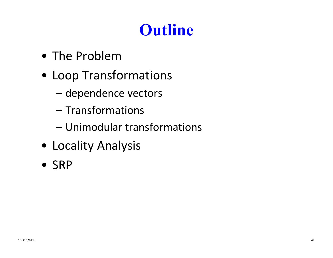# **Outline**

- The Problem
- Loop Transformations
	- –dependence vectors
	- Transformations
	- Unimodular transformations
- Locality Analysis
- SRP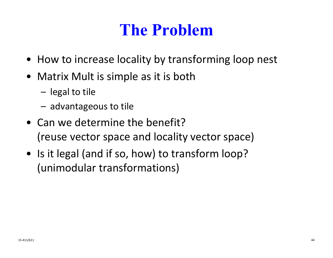### **The Problem**

- How to increase locality by transforming loop nest
- Matrix Mult is simple as it is both
	- –legal to tile
	- –advantageous to tile
- Can we determine the benefit? (reuse vector space and locality vector space)
- Is it legal (and if so, how) to transform loop? (unimodular transformations)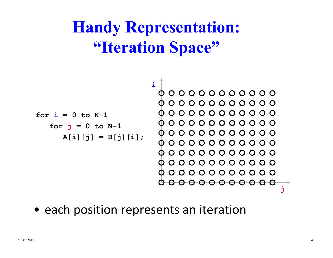# **Handy Representation: "Iteration Space"**



• each position represents an iteration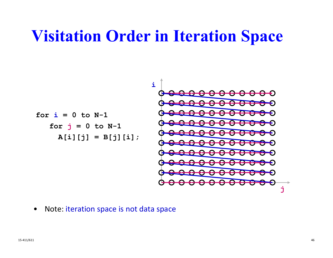#### **Visitation Order in Iteration Space**

**for i = 0 to N-1 for j = 0 to N-1 A[i][j] = B[j][i]; ij**

 $\bullet$ Note: iteration space is not data space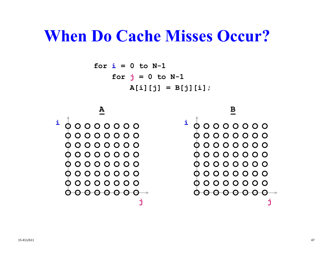```
for i = 0 to N-1
    for 
j = 0 to N-1
        A[i][j] = B[j][i];
```
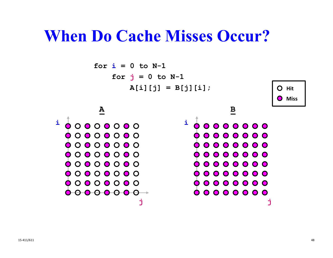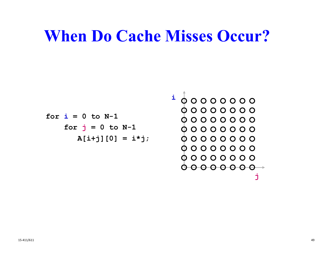$$
\begin{array}{rcl}\n\text{for } i = 0 \text{ to } N-1 \\
\text{for } j = 0 \text{ to } N-1 \\
\text{for } j = 0 \text{ to } N-1 \\
\text{A[i+j][0]} & = i * j; \\
\end{array}
$$

**j**

 $00000000$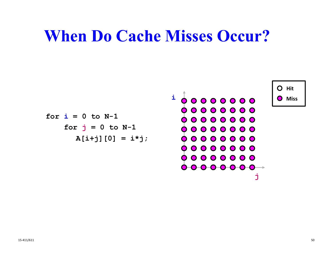$$
\begin{array}{c|c}\n\text{for } i = 0 \text{ to } N-1 \\
\text{for } j = 0 \text{ to } N-1 \\
\text{A[i+j][0]} = i * j; \\
\end{array}\n\qquad\n\begin{array}{c|c}\n\text{if } i = 0 \text{ to } N-1 \\
\text{if } i = 0 \text{ to } N-1 \\
\text{if } i = 0 \text{ to } N-1 \\
\text{if } i = 0 \text{ to } N-1 \\
\end{array}
$$

┑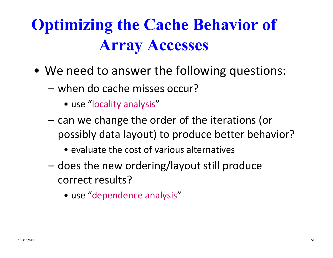# **Optimizing the Cache Behavior of Array Accesses**

- We need to answer the following questions:
	- when do cache misses occur?
		- use "locality analysis "
	- can we change the order of the iterations (or possibly data layout) to produce better behavior?
		- evaluate the cost of various alternatives
	- does the new ordering/layout still produce correct results?
		- use "dependence analysis "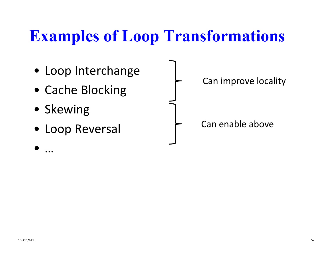#### **Examples of Loop Transformations**



…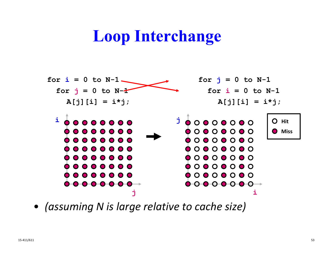#### **Loop Interchange**



• *(assuming N is large relative to cache size)*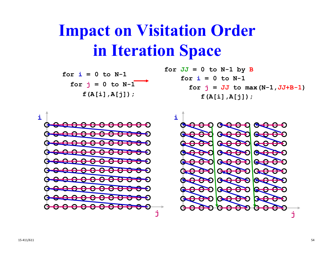#### **Impact on Visitation Order in Iteration Space**

for 
$$
i = 0
$$
 to N-1  
for  $j = 0$  to N-1  
 $f(A[i], A[j])$ ;

for 
$$
JJ = 0
$$
 to N-1 by B  
for  $i = 0$  to N-1  
for  $j = JJ$  to max (N-1, JJ+B-1)  
 $f(A[i], A[j])$ ;

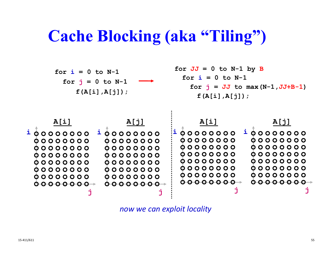#### **Cache Blocking (aka "Tiling")**



*now we can exploit locality*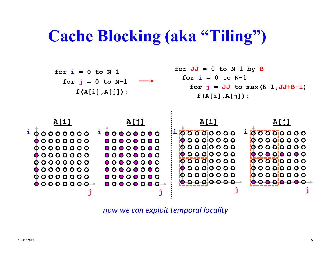#### **Cache Blocking (aka "Tiling")**



*now we can exploit temporal locality*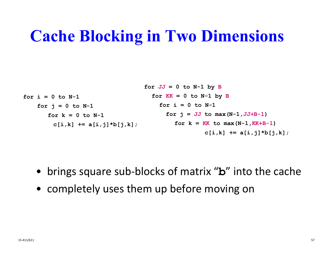#### **Cache Blocking in Two Dimensions**

$$
\begin{aligned}\n\text{for } i = 0 \text{ to } N-1 \\
\text{for } K &= 0 \text{ to } N-1 \text{ by } B \\
\text{for } j = 0 \text{ to } N-1 \\
\text{for } k = 0 \text{ to } N-1 \\
\text{for } k = 0 \text{ to } N-1 \\
\text{for } j = JJ \text{ to } \max(N-1, JJ+B-1) \\
\text{for } k = KK \text{ to } \max(N-1, KK+B-1) \\
\text{for } k = KK \text{ to } \max(N-1, KK+B-1) \\
\text{if } k = \min\{j, k\}.\n\end{aligned}
$$

- brings square sub-blocks of matrix " **b** " into the cache
- completely uses them up before moving on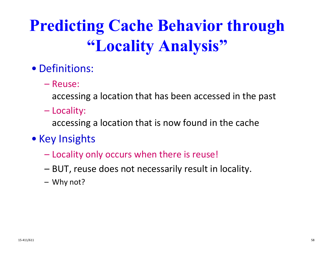# **Predicting Cache Behavior through "Locality Analysis"**

#### • Definitions:

– Reuse:

accessing a location that has been accessed in the past

Locality:

accessing a location that is now found in the cache

- Key Insights
	- Locality only occurs when there is reuse!
	- BUT, reuse does not necessarily result in locality.
	- Why not?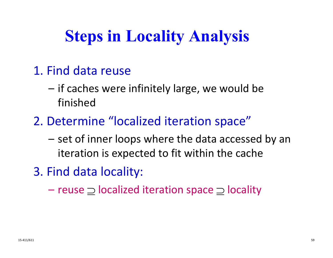# **Steps in Locality Analysis**

- 1. Find data reuse
	- if caches were infinitely large, we would be finished
- 2. Determine "localized iteration space"
	- set of inner loops where the data accessed by an iteration is expected to fit within the cache
- 3. Find data locality:
	- reuse  $\supseteq$  localized iteration space  $\supseteq$  locality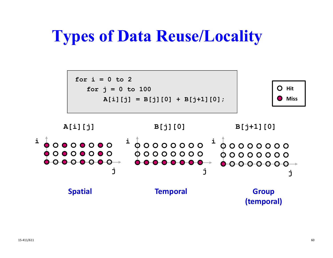#### **Types of Data Reuse/Locality**

**for i = 0 to 2for j = 0 to 100**  $A[i][j] = B[j][0] + B[j+1][0];$ 



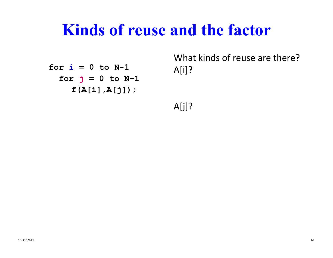#### **Kinds of reuse and the factor**

**for i = 0 to N-1 for j = 0 to N-1 f(A[i],A[j]);**

What kinds of reuse are there? A[i]?

A[j]?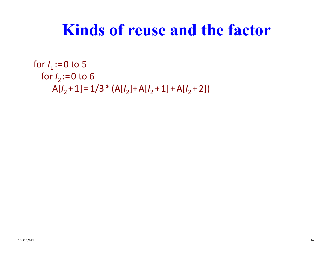#### **Kinds of reuse and the factor**

```
for I<sub>1</sub>:=0 to 5
  for
I
2 := 0 to
6
      A[I_2 + 1] = 1/3 * (A[I_2] + A[I_2 + 1] + A[I_2 + 2])
```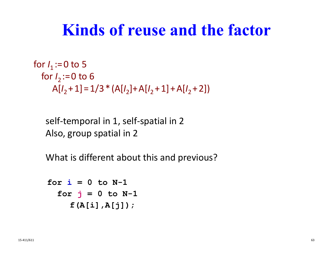#### **Kinds of reuse and the factor**

```
for I<sub>1</sub>:=0 to 5
  for
I
2 := 0 to
6
      A[I_2 + 1] = 1/3 * (A[I_2] + A[I_2 + 1] + A[I_2 + 2])
```
self ‐temporal in 1, self ‐spatial in 2 Also, group spatial in 2

What is different about this and previous?

```
for i = 0 to N-1
  for 
j = 0 to N-1
    f(A[i],A[j]);
```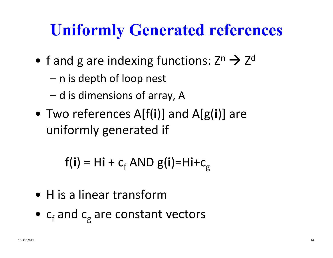### **Uniformly Generated references**

- f and g are indexing functions: Z n  $\rightarrow$  Z d
	- n is depth of loop nest
	- d is dimensions of array, A
- Two references A[f( **i**)] and A[g( **i**)] are uniformly generated if

f( **i** ) = H**i** + c<sub>f</sub> AND g(**i**)=H**i**+c<sub>g</sub>

- H is a linear transform
- $\bullet$   $\,$  c $_{\rm f}$  and c  $_{\rm g}$  are constant vectors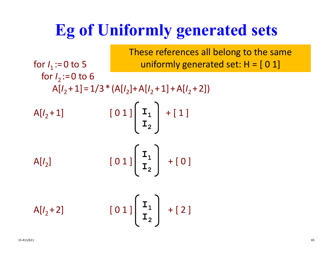#### **Eg of Uniformly generated sets**

for *I*<sub>1</sub>:=0 to 5 for *I* 2 := 0 to 6  $A[I_2 + 1] = 1/3 * (A[I_2] + A[I_2 + 1] + A[I_2 + 2])$  $A[l_2 + 1]$  [ 0 1 ] <sup>+</sup> [ 1 ] **I 1** A[ *I*  $\begin{bmatrix} 2 \end{bmatrix}$  $01$ ]  $^{-1}$  |  $+$  [0]  $A[l_2 + 2]$  [  $01$ ]  $^{-1}$  | + [2]  $\mathbf{I}_{2}$  $\mathbf{I}_1$  $\mathbf{I}_{2}$  $\mathbf{I}_1$  $\mathbf{I}_{2}$ These references all belong to the same uniformly generated set: H = [ 0 1]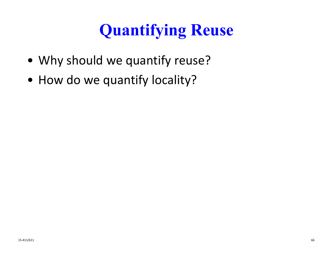# **Quantifying Reuse**

- Why should we quantify reuse?
- How do we quantify locality?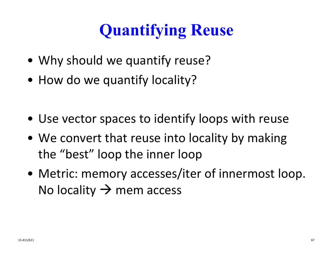# **Quantifying Reuse**

- Why should we quantify reuse?
- How do we quantify locality?
- Use vector spaces to identify loops with reuse
- We convert that reuse into locality by making the "best" loop the inner loop
- Metric: memory accesses/iter of innermost loop. No locality  $\rightarrow$  mem access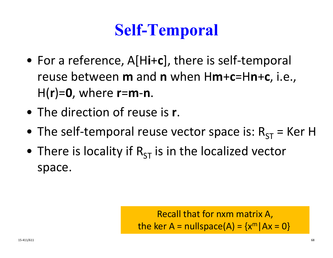### **Self-Temporal**

- For a reference, A[H**i**<sup>+</sup>**c**], there is self‐temporal reuse between **m** and **<sup>n</sup>** when H**m**+**c**=H**n**+**c**, i.e., H(**r**)=**0**, where **<sup>r</sup>**=**m**‐**n**.
- The direction of reuse is **<sup>r</sup>**.
- The self-temporal reuse vector space is:  $R_{ST}$  = Ker H
- $\bullet\,$  There is locality if  ${\sf R}_{\sf ST}$  is in the localized vector space.

Recall that for nxm matrix A, the ker A = nullspace(A) =  $\{x^m \,|\, Ax = 0\}$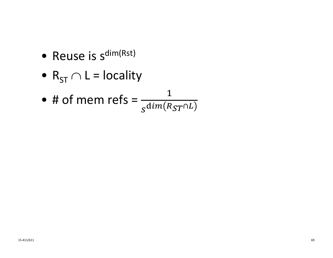- $\bullet\,$  Reuse is s<sup>dim(Rst)</sup>
- $\, {\sf R}_{\sf ST} \cap {\sf L} = {\sf locality} \,$
- # of mem refs =  $\frac{1}{\sqrt{2}}$  $_{S}$ d $im(R_{ST}$ ∩ $L$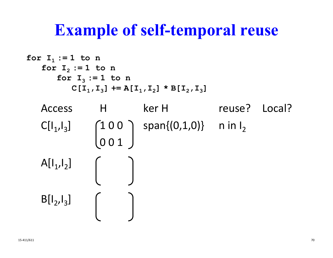#### **Example of self-temporal reuse**

```
Access H ker H reuse? Local?
       \mathsf{CI}[\mathsf{I}_1,\mathsf{I}_3] \left( \begin{array}{cc} 1 \ 0 \ 0 \end{array} \right) span\{(\mathsf{0},\mathsf{1},\mathsf{0})\} n in \mathsf{I}_20
0
1
       \mathsf{A}[\mathsf{I}_1,\mathsf{I}_2]\mathsf{B}[\mathsf{I}_2,\mathsf{I}_3]for I
1 := 1 to n
       for I
2 := 1 to n
               for I
3 := 1 to n
                       \mathbf{C}[\mathbf{I}_{1}^{},\mathbf{I}_{3}^{}] += \mathbf{A}[\mathbf{I}_{1}^{},\mathbf{I}_{2}^{}] * \mathbf{B}[\mathbf{I}_{2}^{},\mathbf{I}_{3}^{}]
```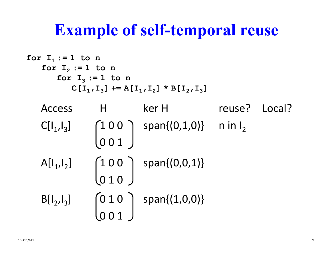#### **Example of self-temporal reuse**

```
Access H kerr H reuse? Local?
        \mathsf{C}[\mathsf{I}_1,\mathsf{I}_3]\left[1\,0\,0\;\;\right) span\left\{(0,1,0)\right\} ninl<sub>2</sub>
                                          001\mathsf{A}[\mathsf{I}_1,\mathsf{I}_2]100 | span\{(0,0,1)\}0
1
0
        B[I_2,I_3] \qquad \qquad \qquad \qquad \qquad \qquad \qquad \qquad \qquad \qquad \qquad \qquad \qquad \qquad \qquad \qquad \qquad \qquad \qquad \qquad \qquad \qquad \qquad \qquad \qquad \qquad \qquad \qquad \qquad \qquad \qquad \qquad \qquad \qquad \qquad 
                                               10 | span\{(1,0,0)\}001for I
1 := 1 to n
        for I
2 := 1 to n
                 for I
3 := 1 to n
                          \mathbf{C}[\mathbf{I}_{1}^{},\mathbf{I}_{3}^{}] += \mathbf{A}[\mathbf{I}_{1}^{},\mathbf{I}_{2}^{}] * \mathbf{B}[\mathbf{I}_{2}^{},\mathbf{I}_{3}^{}]
```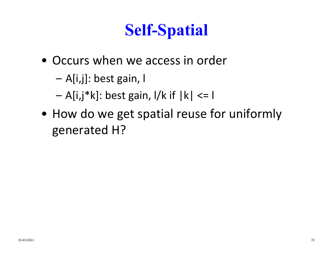# **Self-Spatial**

- Occurs when we access in order
	- –A[i,j]: best gain, l
	- –A[i,j\*k]: best gain, l/k if |k| <= l
- How do we get spatial reuse for uniformly generated H?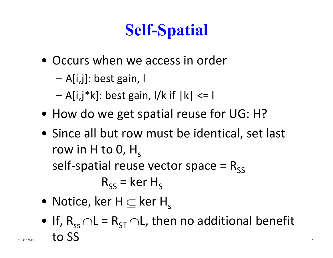# **Self-Spatial**

- Occurs when we access in order
	- –A[i,j]: best gain, l
	- –A[i,j\*k]: best gain, l/k if |k| <= l
- How do we get spatial reuse for UG: H?
- Since all but row must be identical, set last row in H to 0,  ${\sf H}_{\sf s}$ self-spatial reuse vector space =  $R_{ss}$  $\mathsf{R}_{\mathsf{SS}}^{}$  = ker  $\mathsf{H}_{\mathsf{S}}^{}$
- $\bullet\,$  Notice, ker H  $\subseteq$  ker H $_{\mathrm{s}}$
- $\bullet\,$  If,  $\mathsf{R}_{\mathsf{ss}}\!\cap\! \mathsf{L} = \mathsf{R}_{\mathsf{ST}}\!\cap\! \mathsf{L}$ , then no additional benefit  $\frac{1}{15-411/611}$  to SS  $\frac{1}{73}$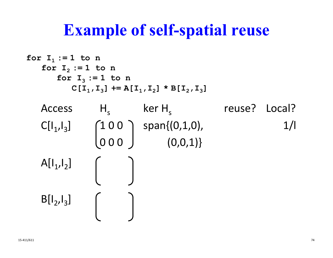#### **Example of self-spatial reuse**

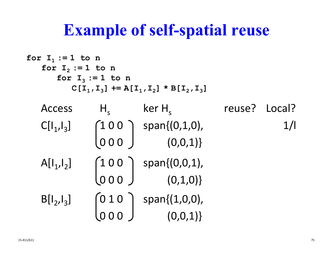#### **Example of self-spatial reuse**

| for $I_1 := 1$ to n |                     |                                                                                         |               |     |
|---------------------|---------------------|-----------------------------------------------------------------------------------------|---------------|-----|
| for $I_2 := 1$ to n |                     |                                                                                         |               |     |
|                     | for $I_3 := 1$ to n |                                                                                         |               |     |
|                     |                     | $C[I_1, I_3]$ += $A[I_1, I_2]$ * $B[I_2, I_3]$                                          |               |     |
| <b>Access</b>       | $H_{\mathsf{c}}$    | $ker H_s$                                                                               | reuse? Local? |     |
| $C[ _{1}, _{3}]$    |                     | $\begin{pmatrix} 1 & 0 & 0 \\ 0 & 0 & 0 \end{pmatrix}$ span $\{(0,1,0),$<br>$(0,0,1)\}$ |               | 1/1 |
|                     |                     |                                                                                         |               |     |
| $A[I_1,I_2]$        |                     | $\begin{pmatrix} 1 & 0 & 0 \\ 0 & 0 & 0 \end{pmatrix}$ span $\{(0,0,1),$<br>$(0,1,0)\}$ |               |     |
|                     |                     |                                                                                         |               |     |
| $B[I_2,I_3]$        |                     | $\begin{pmatrix} 0 & 1 & 0 \end{pmatrix}$ span $\{(1,0,0),$                             |               |     |
|                     |                     | (0,0,1)                                                                                 |               |     |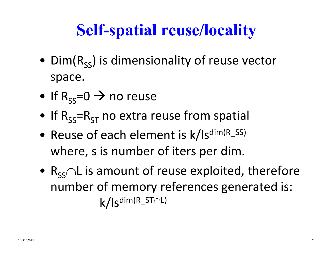# **Self-spatial reuse/locality**

- $\bullet \,$  Dim(R<sub>ss</sub>) is dimensionality of reuse vector space.
- $\bullet$  If R<sub>ss</sub>=0  $\rightarrow$  no reuse
- $\bullet\,$  If  $\rm R_{SS}$ = $\rm R_{ST}$  no extra reuse from spatial
- Reuse of each element is k/ls<sup>dim(R\_SS)</sup> where, s is number of iters per dim.
- $\bullet$   $\mathsf{R}_{\mathsf{SS}}\!\!\cap\!\mathsf{L}$  is amount of reuse exploited, therefore number of memory references generated is: k/lsdim(R\_ST L)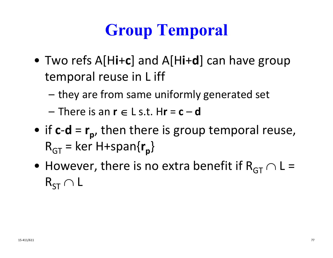# **Group Temporal**

- Two refs A[H**i**+**c**] and A[H**i**+**d**] can have group temporal reuse in L iff
	- –they are from same uniformly generated set
	- $-$  There is an  $\mathbf{r} \in \mathsf{L}$  s.t. H $\mathbf{r}$  =  $\mathbf{c}$ –**d**
- if **c** ‐ **d** = **r p** , then there is group temporal reuse,  $\mathsf{R}_{\mathsf{GT}}=$ = ker H+span{r<sub>p</sub>}
- $\bullet\,$  However, there is no extra benefit if  $\rm R_{GT}\cap L$  =  $\mathsf{R}_{\mathsf{ST}} \cap \mathsf{L}$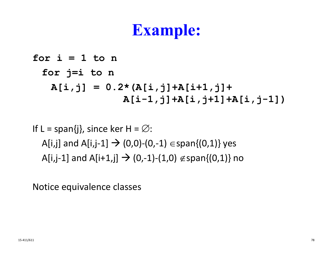#### **Example:**

**for i = 1 to n for j=i to n A[i,j] = 0.2\*(A[i,j]+A[i+1,j]+ A[i-1,j]+A[i,j+1]+A[i,j-1])**

If L = span{j}, since ker H =  $\varnothing$ : A[i,j] and A[i,j-1]  $\rightarrow$  (0,0)-(0,-1)  $\in$ span{(0,1)} yes A[i,j-1] and A[i+1,j]  $\rightarrow$  (0,-1)-(1,0)  $\notin$  span{(0,1)} no

Notice equivalence classes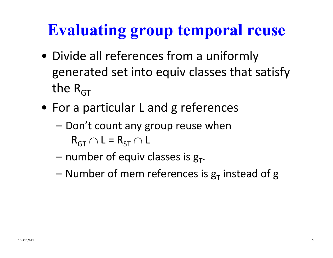# **Evaluating group temporal reuse**

- Divide all references from a uniformly generated set into equiv classes that satisfy the R<sub>GT</sub>
- For a particular L and g references
	- Don't count any group reuse when  $\mathsf{R}_{\mathsf{GT}} \cap \mathsf{L} = \mathsf{R}_{\mathsf{ST}} \cap \mathsf{L}$
	- number of equiv classes is  $\boldsymbol{\mathsf{g}}_{\mathsf{T}}.$
	- Number of mem references is  $\boldsymbol{\mathsf{g}}_{\textsf{T}}$  instead of  $\boldsymbol{\mathsf{g}}$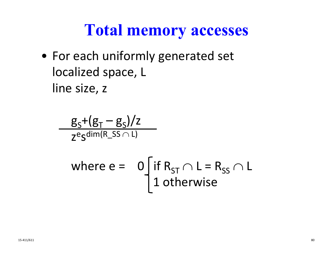#### **Total memory accesses**

• For each uniformly generated set localized space, L line size, z

$$
\frac{g_s + (g_T - g_s)/z}{z^{e_s \text{dim}(R_s s \cap L)}}
$$
  
where  $e = 0$  if  $R_{ST} \cap L = R_{SS} \cap L$   
1 otherwise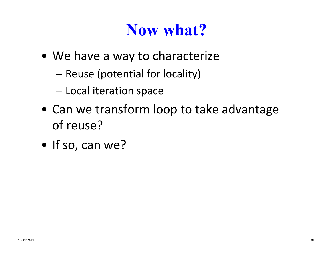#### **Now what?**

- We have <sup>a</sup> way to characterize
	- Reuse (potential for locality)
	- Local iteration space
- Can we transform loop to take advantage of reuse?
- If so, can we?